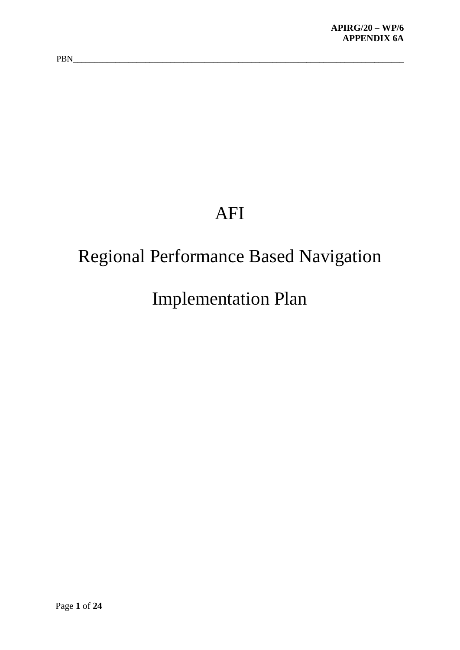## AFI

## Regional Performance Based Navigation

## Implementation Plan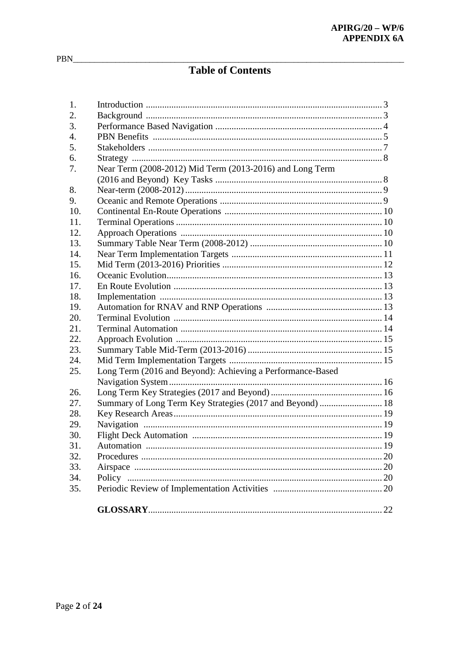## **Table of Contents**

| 1.  |                                                            |  |
|-----|------------------------------------------------------------|--|
| 2.  |                                                            |  |
| 3.  |                                                            |  |
| 4.  |                                                            |  |
| 5.  |                                                            |  |
| 6.  |                                                            |  |
| 7.  | Near Term (2008-2012) Mid Term (2013-2016) and Long Term   |  |
|     |                                                            |  |
| 8.  |                                                            |  |
| 9.  |                                                            |  |
| 10. |                                                            |  |
| 11. |                                                            |  |
| 12. |                                                            |  |
| 13. |                                                            |  |
| 14. |                                                            |  |
| 15. |                                                            |  |
| 16. |                                                            |  |
| 17. |                                                            |  |
| 18. |                                                            |  |
| 19. |                                                            |  |
| 20. |                                                            |  |
| 21. |                                                            |  |
| 22. |                                                            |  |
| 23. |                                                            |  |
| 24. |                                                            |  |
| 25. | Long Term (2016 and Beyond): Achieving a Performance-Based |  |
|     |                                                            |  |
| 26. |                                                            |  |
| 27. | Summary of Long Term Key Strategies (2017 and Beyond)  18  |  |
| 28. |                                                            |  |
| 29. |                                                            |  |
| 30. |                                                            |  |
| 31. |                                                            |  |
| 32. |                                                            |  |
| 33. |                                                            |  |
| 34. |                                                            |  |
| 35. |                                                            |  |
|     |                                                            |  |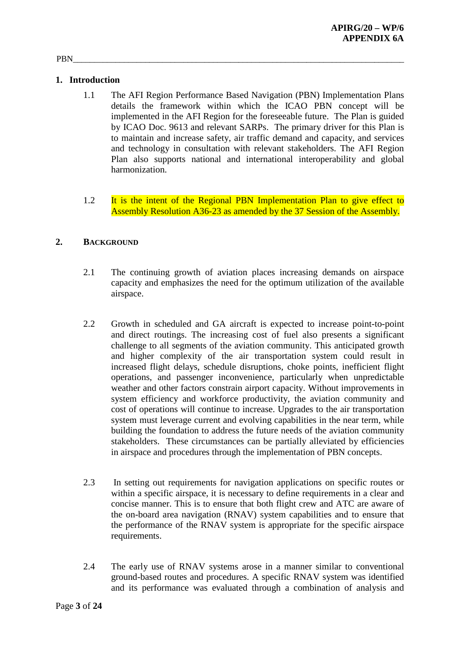## **1. Introduction**

- 1.1 The AFI Region Performance Based Navigation (PBN) Implementation Plans details the framework within which the ICAO PBN concept will be implemented in the AFI Region for the foreseeable future. The Plan is guided by ICAO Doc. 9613 and relevant SARPs. The primary driver for this Plan is to maintain and increase safety, air traffic demand and capacity, and services and technology in consultation with relevant stakeholders. The AFI Region Plan also supports national and international interoperability and global harmonization.
- 1.2 It is the intent of the Regional PBN Implementation Plan to give effect to Assembly Resolution A36-23 as amended by the 37 Session of the Assembly.

## **2. BACKGROUND**

- 2.1 The continuing growth of aviation places increasing demands on airspace capacity and emphasizes the need for the optimum utilization of the available airspace.
- 2.2 Growth in scheduled and GA aircraft is expected to increase point-to-point and direct routings. The increasing cost of fuel also presents a significant challenge to all segments of the aviation community. This anticipated growth and higher complexity of the air transportation system could result in increased flight delays, schedule disruptions, choke points, inefficient flight operations, and passenger inconvenience, particularly when unpredictable weather and other factors constrain airport capacity. Without improvements in system efficiency and workforce productivity, the aviation community and cost of operations will continue to increase. Upgrades to the air transportation system must leverage current and evolving capabilities in the near term, while building the foundation to address the future needs of the aviation community stakeholders. These circumstances can be partially alleviated by efficiencies in airspace and procedures through the implementation of PBN concepts.
- 2.3 In setting out requirements for navigation applications on specific routes or within a specific airspace, it is necessary to define requirements in a clear and concise manner. This is to ensure that both flight crew and ATC are aware of the on-board area navigation (RNAV) system capabilities and to ensure that the performance of the RNAV system is appropriate for the specific airspace requirements.
- 2.4 The early use of RNAV systems arose in a manner similar to conventional ground-based routes and procedures. A specific RNAV system was identified and its performance was evaluated through a combination of analysis and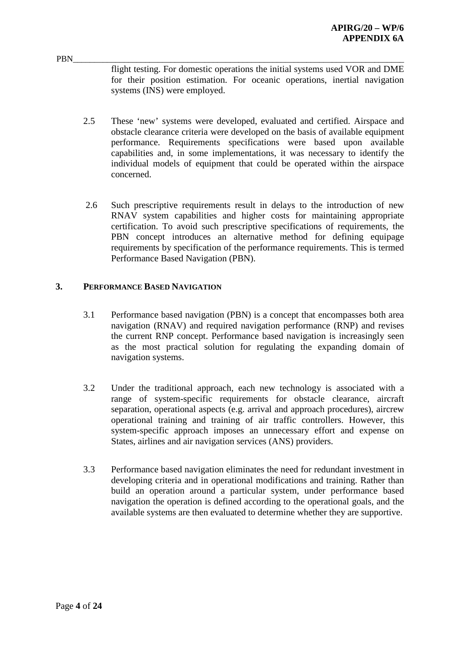flight testing. For domestic operations the initial systems used VOR and DME for their position estimation. For oceanic operations, inertial navigation systems (INS) were employed.

- 2.5 These 'new' systems were developed, evaluated and certified. Airspace and obstacle clearance criteria were developed on the basis of available equipment performance. Requirements specifications were based upon available capabilities and, in some implementations, it was necessary to identify the individual models of equipment that could be operated within the airspace concerned.
- 2.6 Such prescriptive requirements result in delays to the introduction of new RNAV system capabilities and higher costs for maintaining appropriate certification. To avoid such prescriptive specifications of requirements, the PBN concept introduces an alternative method for defining equipage requirements by specification of the performance requirements. This is termed Performance Based Navigation (PBN).

### **3. PERFORMANCE BASED NAVIGATION**

- 3.1 Performance based navigation (PBN) is a concept that encompasses both area navigation (RNAV) and required navigation performance (RNP) and revises the current RNP concept. Performance based navigation is increasingly seen as the most practical solution for regulating the expanding domain of navigation systems.
- 3.2 Under the traditional approach, each new technology is associated with a range of system-specific requirements for obstacle clearance, aircraft separation, operational aspects (e.g. arrival and approach procedures), aircrew operational training and training of air traffic controllers. However, this system-specific approach imposes an unnecessary effort and expense on States, airlines and air navigation services (ANS) providers.
- 3.3 Performance based navigation eliminates the need for redundant investment in developing criteria and in operational modifications and training. Rather than build an operation around a particular system, under performance based navigation the operation is defined according to the operational goals, and the available systems are then evaluated to determine whether they are supportive.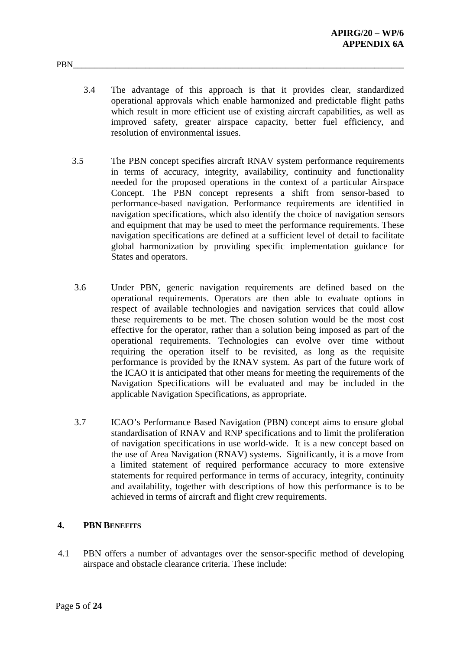- 3.4 The advantage of this approach is that it provides clear, standardized operational approvals which enable harmonized and predictable flight paths which result in more efficient use of existing aircraft capabilities, as well as improved safety, greater airspace capacity, better fuel efficiency, and resolution of environmental issues.
- 3.5 The PBN concept specifies aircraft RNAV system performance requirements in terms of accuracy, integrity, availability, continuity and functionality needed for the proposed operations in the context of a particular Airspace Concept. The PBN concept represents a shift from sensor-based to performance-based navigation. Performance requirements are identified in navigation specifications, which also identify the choice of navigation sensors and equipment that may be used to meet the performance requirements. These navigation specifications are defined at a sufficient level of detail to facilitate global harmonization by providing specific implementation guidance for States and operators.
- 3.6 Under PBN, generic navigation requirements are defined based on the operational requirements. Operators are then able to evaluate options in respect of available technologies and navigation services that could allow these requirements to be met. The chosen solution would be the most cost effective for the operator, rather than a solution being imposed as part of the operational requirements. Technologies can evolve over time without requiring the operation itself to be revisited, as long as the requisite performance is provided by the RNAV system. As part of the future work of the ICAO it is anticipated that other means for meeting the requirements of the Navigation Specifications will be evaluated and may be included in the applicable Navigation Specifications, as appropriate.
- 3.7 ICAO's Performance Based Navigation (PBN) concept aims to ensure global standardisation of RNAV and RNP specifications and to limit the proliferation of navigation specifications in use world-wide. It is a new concept based on the use of Area Navigation (RNAV) systems. Significantly, it is a move from a limited statement of required performance accuracy to more extensive statements for required performance in terms of accuracy, integrity, continuity and availability, together with descriptions of how this performance is to be achieved in terms of aircraft and flight crew requirements.

## **4. PBN BENEFITS**

4.1 PBN offers a number of advantages over the sensor-specific method of developing airspace and obstacle clearance criteria. These include: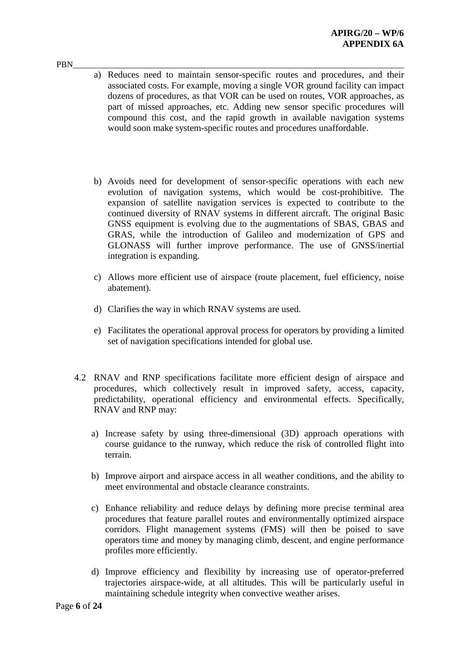- PBN\_\_\_\_\_\_\_\_\_\_\_\_\_\_\_\_\_\_\_\_\_\_\_\_\_\_\_\_\_\_\_\_\_\_\_\_\_\_\_\_\_\_\_\_\_\_\_\_\_\_\_\_\_\_\_\_\_\_\_\_\_\_\_\_\_\_\_\_\_\_\_\_\_\_\_\_\_\_ a) Reduces need to maintain sensor-specific routes and procedures, and their associated costs. For example, moving a single VOR ground facility can impact dozens of procedures, as that VOR can be used on routes, VOR approaches, as part of missed approaches, etc. Adding new sensor specific procedures will compound this cost, and the rapid growth in available navigation systems would soon make system-specific routes and procedures unaffordable.
	- b) Avoids need for development of sensor-specific operations with each new evolution of navigation systems, which would be cost-prohibitive. The expansion of satellite navigation services is expected to contribute to the continued diversity of RNAV systems in different aircraft. The original Basic GNSS equipment is evolving due to the augmentations of SBAS, GBAS and GRAS, while the introduction of Galileo and modernization of GPS and GLONASS will further improve performance. The use of GNSS/inertial integration is expanding.
	- c) Allows more efficient use of airspace (route placement, fuel efficiency, noise abatement).
	- d) Clarifies the way in which RNAV systems are used.
	- e) Facilitates the operational approval process for operators by providing a limited set of navigation specifications intended for global use.
	- 4.2 RNAV and RNP specifications facilitate more efficient design of airspace and procedures, which collectively result in improved safety, access, capacity, predictability, operational efficiency and environmental effects. Specifically, RNAV and RNP may:
		- a) Increase safety by using three-dimensional (3D) approach operations with course guidance to the runway, which reduce the risk of controlled flight into terrain.
		- b) Improve airport and airspace access in all weather conditions, and the ability to meet environmental and obstacle clearance constraints.
		- c) Enhance reliability and reduce delays by defining more precise terminal area procedures that feature parallel routes and environmentally optimized airspace corridors. Flight management systems (FMS) will then be poised to save operators time and money by managing climb, descent, and engine performance profiles more efficiently.
		- d) Improve efficiency and flexibility by increasing use of operator-preferred trajectories airspace-wide, at all altitudes. This will be particularly useful in maintaining schedule integrity when convective weather arises.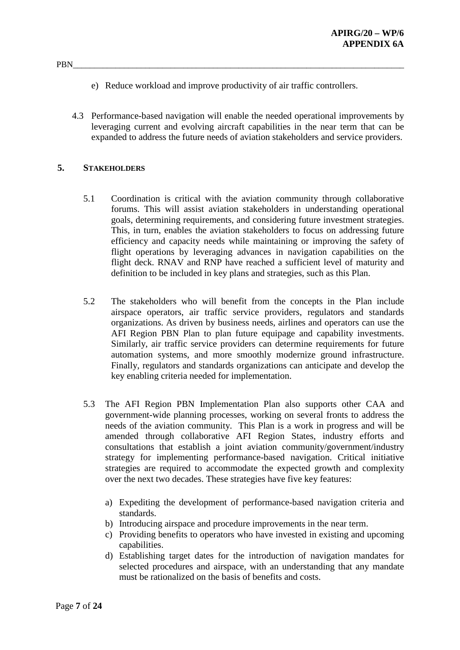- e) Reduce workload and improve productivity of air traffic controllers.
- 4.3 Performance-based navigation will enable the needed operational improvements by leveraging current and evolving aircraft capabilities in the near term that can be expanded to address the future needs of aviation stakeholders and service providers.

### **5. STAKEHOLDERS**

- 5.1 Coordination is critical with the aviation community through collaborative forums. This will assist aviation stakeholders in understanding operational goals, determining requirements, and considering future investment strategies. This, in turn, enables the aviation stakeholders to focus on addressing future efficiency and capacity needs while maintaining or improving the safety of flight operations by leveraging advances in navigation capabilities on the flight deck. RNAV and RNP have reached a sufficient level of maturity and definition to be included in key plans and strategies, such as this Plan.
- 5.2 The stakeholders who will benefit from the concepts in the Plan include airspace operators, air traffic service providers, regulators and standards organizations. As driven by business needs, airlines and operators can use the AFI Region PBN Plan to plan future equipage and capability investments. Similarly, air traffic service providers can determine requirements for future automation systems, and more smoothly modernize ground infrastructure. Finally, regulators and standards organizations can anticipate and develop the key enabling criteria needed for implementation.
- 5.3 The AFI Region PBN Implementation Plan also supports other CAA and government-wide planning processes, working on several fronts to address the needs of the aviation community. This Plan is a work in progress and will be amended through collaborative AFI Region States, industry efforts and consultations that establish a joint aviation community/government/industry strategy for implementing performance-based navigation. Critical initiative strategies are required to accommodate the expected growth and complexity over the next two decades. These strategies have five key features:
	- a) Expediting the development of performance-based navigation criteria and standards.
	- b) Introducing airspace and procedure improvements in the near term.
	- c) Providing benefits to operators who have invested in existing and upcoming capabilities.
	- d) Establishing target dates for the introduction of navigation mandates for selected procedures and airspace, with an understanding that any mandate must be rationalized on the basis of benefits and costs.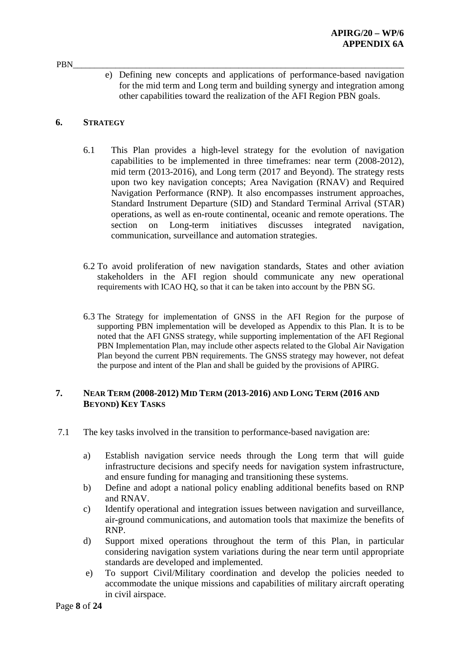PBN\_\_\_\_\_\_\_\_\_\_\_\_\_\_\_\_\_\_\_\_\_\_\_\_\_\_\_\_\_\_\_\_\_\_\_\_\_\_\_\_\_\_\_\_\_\_\_\_\_\_\_\_\_\_\_\_\_\_\_\_\_\_\_\_\_\_\_\_\_\_\_\_\_\_\_\_\_\_ e) Defining new concepts and applications of performance-based navigation for the mid term and Long term and building synergy and integration among other capabilities toward the realization of the AFI Region PBN goals.

## **6. STRATEGY**

- 6.1 This Plan provides a high-level strategy for the evolution of navigation capabilities to be implemented in three timeframes: near term (2008-2012), mid term (2013-2016), and Long term (2017 and Beyond). The strategy rests upon two key navigation concepts; Area Navigation (RNAV) and Required Navigation Performance (RNP). It also encompasses instrument approaches, Standard Instrument Departure (SID) and Standard Terminal Arrival (STAR) operations, as well as en-route continental, oceanic and remote operations. The section on Long-term initiatives discusses integrated navigation, communication, surveillance and automation strategies.
- 6.2 To avoid proliferation of new navigation standards, States and other aviation stakeholders in the AFI region should communicate any new operational requirements with ICAO HQ, so that it can be taken into account by the PBN SG.
- 6.3 The Strategy for implementation of GNSS in the AFI Region for the purpose of supporting PBN implementation will be developed as Appendix to this Plan. It is to be noted that the AFI GNSS strategy, while supporting implementation of the AFI Regional PBN Implementation Plan, may include other aspects related to the Global Air Navigation Plan beyond the current PBN requirements. The GNSS strategy may however, not defeat the purpose and intent of the Plan and shall be guided by the provisions of APIRG.

### **7. NEAR TERM (2008-2012) MID TERM (2013-2016) AND LONG TERM (2016 AND BEYOND) KEY TASKS**

- 7.1 The key tasks involved in the transition to performance-based navigation are:
	- a) Establish navigation service needs through the Long term that will guide infrastructure decisions and specify needs for navigation system infrastructure, and ensure funding for managing and transitioning these systems.
	- b) Define and adopt a national policy enabling additional benefits based on RNP and RNAV.
	- c) Identify operational and integration issues between navigation and surveillance, air-ground communications, and automation tools that maximize the benefits of RNP.
	- d) Support mixed operations throughout the term of this Plan, in particular considering navigation system variations during the near term until appropriate standards are developed and implemented.
	- e) To support Civil/Military coordination and develop the policies needed to accommodate the unique missions and capabilities of military aircraft operating in civil airspace.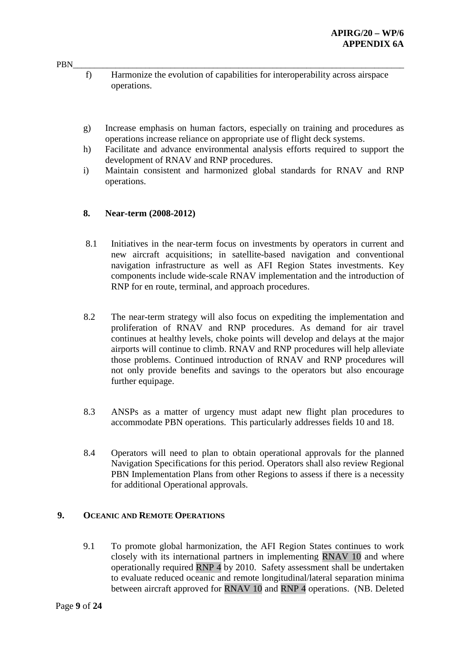- PBN\_\_\_\_\_\_\_\_\_\_\_\_\_\_\_\_\_\_\_\_\_\_\_\_\_\_\_\_\_\_\_\_\_\_\_\_\_\_\_\_\_\_\_\_\_\_\_\_\_\_\_\_\_\_\_\_\_\_\_\_\_\_\_\_\_\_\_\_\_\_\_\_\_\_\_\_\_\_ f) Harmonize the evolution of capabilities for interoperability across airspace operations.
	- g) Increase emphasis on human factors, especially on training and procedures as operations increase reliance on appropriate use of flight deck systems.
	- h) Facilitate and advance environmental analysis efforts required to support the development of RNAV and RNP procedures.
	- i) Maintain consistent and harmonized global standards for RNAV and RNP operations.

### **8. Near-term (2008-2012)**

- 8.1 Initiatives in the near-term focus on investments by operators in current and new aircraft acquisitions; in satellite-based navigation and conventional navigation infrastructure as well as AFI Region States investments. Key components include wide-scale RNAV implementation and the introduction of RNP for en route, terminal, and approach procedures.
- 8.2 The near-term strategy will also focus on expediting the implementation and proliferation of RNAV and RNP procedures. As demand for air travel continues at healthy levels, choke points will develop and delays at the major airports will continue to climb. RNAV and RNP procedures will help alleviate those problems. Continued introduction of RNAV and RNP procedures will not only provide benefits and savings to the operators but also encourage further equipage.
- 8.3 ANSPs as a matter of urgency must adapt new flight plan procedures to accommodate PBN operations. This particularly addresses fields 10 and 18.
- 8.4 Operators will need to plan to obtain operational approvals for the planned Navigation Specifications for this period. Operators shall also review Regional PBN Implementation Plans from other Regions to assess if there is a necessity for additional Operational approvals.

#### **9. OCEANIC AND REMOTE OPERATIONS**

9.1 To promote global harmonization, the AFI Region States continues to work closely with its international partners in implementing RNAV 10 and where operationally required RNP 4 by 2010. Safety assessment shall be undertaken to evaluate reduced oceanic and remote longitudinal/lateral separation minima between aircraft approved for RNAV 10 and RNP 4 operations. (NB. Deleted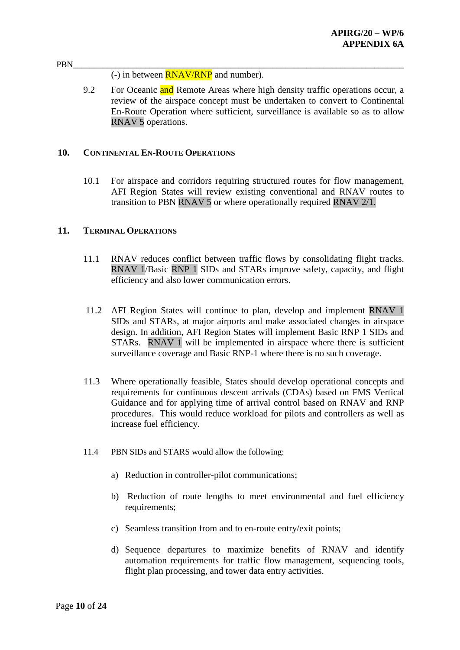#### PBN\_\_\_\_\_\_\_\_\_\_\_\_\_\_\_\_\_\_\_\_\_\_\_\_\_\_\_\_\_\_\_\_\_\_\_\_\_\_\_\_\_\_\_\_\_\_\_\_\_\_\_\_\_\_\_\_\_\_\_\_\_\_\_\_\_\_\_\_\_\_\_\_\_\_\_\_\_\_ (-) in between RNAV/RNP and number).

9.2 For Oceanic and Remote Areas where high density traffic operations occur, a review of the airspace concept must be undertaken to convert to Continental En-Route Operation where sufficient, surveillance is available so as to allow RNAV 5 operations.

#### **10. CONTINENTAL EN-ROUTE OPERATIONS**

10.1 For airspace and corridors requiring structured routes for flow management, AFI Region States will review existing conventional and RNAV routes to transition to PBN RNAV 5 or where operationally required RNAV 2/1.

### **11. TERMINAL OPERATIONS**

- 11.1 RNAV reduces conflict between traffic flows by consolidating flight tracks. RNAV 1/Basic RNP 1 SIDs and STARs improve safety, capacity, and flight efficiency and also lower communication errors.
- 11.2 AFI Region States will continue to plan, develop and implement RNAV 1 SIDs and STARs, at major airports and make associated changes in airspace design. In addition, AFI Region States will implement Basic RNP 1 SIDs and STARs. RNAV 1 will be implemented in airspace where there is sufficient surveillance coverage and Basic RNP-1 where there is no such coverage.
- 11.3 Where operationally feasible, States should develop operational concepts and requirements for continuous descent arrivals (CDAs) based on FMS Vertical Guidance and for applying time of arrival control based on RNAV and RNP procedures. This would reduce workload for pilots and controllers as well as increase fuel efficiency.
- 11.4 PBN SIDs and STARS would allow the following:
	- a) Reduction in controller-pilot communications;
	- b) Reduction of route lengths to meet environmental and fuel efficiency requirements;
	- c) Seamless transition from and to en-route entry/exit points;
	- d) Sequence departures to maximize benefits of RNAV and identify automation requirements for traffic flow management, sequencing tools, flight plan processing, and tower data entry activities.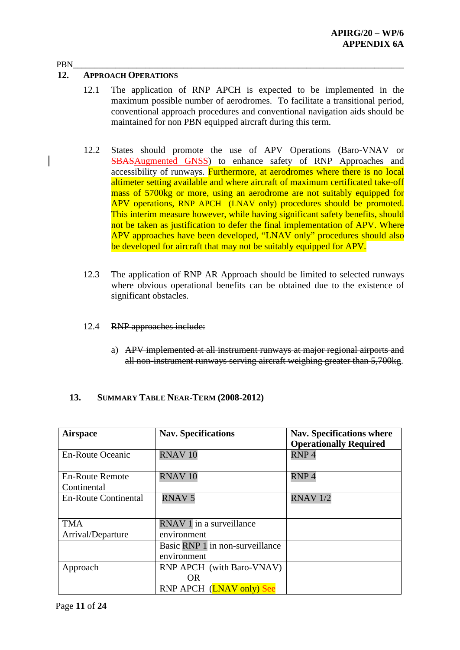### **12. APPROACH OPERATIONS**

- 12.1 The application of RNP APCH is expected to be implemented in the maximum possible number of aerodromes. To facilitate a transitional period, conventional approach procedures and conventional navigation aids should be maintained for non PBN equipped aircraft during this term.
- 12.2 States should promote the use of APV Operations (Baro-VNAV or SBASAugmented GNSS) to enhance safety of RNP Approaches and accessibility of runways. Furthermore, at aerodromes where there is no local altimeter setting available and where aircraft of maximum certificated take-off mass of 5700kg or more, using an aerodrome are not suitably equipped for APV operations, RNP APCH (LNAV only) procedures should be promoted. This interim measure however, while having significant safety benefits, should not be taken as justification to defer the final implementation of APV. Where APV approaches have been developed, "LNAV only" procedures should also be developed for aircraft that may not be suitably equipped for APV.
- 12.3 The application of RNP AR Approach should be limited to selected runways where obvious operational benefits can be obtained due to the existence of significant obstacles.
- 12.4 RNP approaches include:
	- a) APV implemented at all instrument runways at major regional airports and all non-instrument runways serving aircraft weighing greater than 5,700kg.

## **13. SUMMARY TABLE NEAR-TERM (2008-2012)**

| <b>Airspace</b>                       | <b>Nav. Specifications</b>       | <b>Nav. Specifications where</b><br><b>Operationally Required</b> |
|---------------------------------------|----------------------------------|-------------------------------------------------------------------|
| <b>En-Route Oceanic</b>               | RNAV <sub>10</sub>               | RNP <sub>4</sub>                                                  |
| <b>En-Route Remote</b><br>Continental | RNAV <sub>10</sub>               | RNP <sub>4</sub>                                                  |
|                                       |                                  |                                                                   |
| <b>En-Route Continental</b>           | <b>RNAV5</b>                     | <b>RNAV 1/2</b>                                                   |
|                                       |                                  |                                                                   |
| <b>TMA</b>                            | RNAV 1 in a surveillance         |                                                                   |
| Arrival/Departure                     | environment                      |                                                                   |
|                                       | Basic RNP 1 in non-surveillance  |                                                                   |
|                                       | environment                      |                                                                   |
| Approach                              | <b>RNP APCH</b> (with Baro-VNAV) |                                                                   |
|                                       | OR.                              |                                                                   |
|                                       | RNP APCH (LNAV only) See         |                                                                   |

#### PBN\_\_\_\_\_\_\_\_\_\_\_\_\_\_\_\_\_\_\_\_\_\_\_\_\_\_\_\_\_\_\_\_\_\_\_\_\_\_\_\_\_\_\_\_\_\_\_\_\_\_\_\_\_\_\_\_\_\_\_\_\_\_\_\_\_\_\_\_\_\_\_\_\_\_\_\_\_\_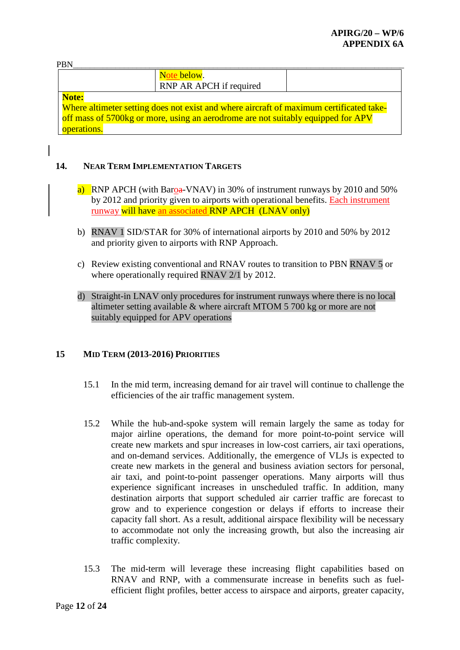| <b>PRN</b>                                                                              |                                                                                  |  |
|-----------------------------------------------------------------------------------------|----------------------------------------------------------------------------------|--|
|                                                                                         | Note below.                                                                      |  |
|                                                                                         | RNP AR APCH if required                                                          |  |
| Note:                                                                                   |                                                                                  |  |
| Where altimeter setting does not exist and where aircraft of maximum certificated take- |                                                                                  |  |
|                                                                                         | off mass of 5700kg or more, using an aerodrome are not suitably equipped for APV |  |
| operations.                                                                             |                                                                                  |  |

## **14. NEAR TERM IMPLEMENTATION TARGETS**

- a) RNP APCH (with Baroa-VNAV) in 30% of instrument runways by 2010 and 50% by 2012 and priority given to airports with operational benefits. Each instrument runway will have an associated RNP APCH (LNAV only)
- b) RNAV 1 SID/STAR for 30% of international airports by 2010 and 50% by 2012 and priority given to airports with RNP Approach.
- c) Review existing conventional and RNAV routes to transition to PBN RNAV 5 or where operationally required RNAV 2/1 by 2012.
- d) Straight-in LNAV only procedures for instrument runways where there is no local altimeter setting available & where aircraft MTOM 5 700 kg or more are not suitably equipped for APV operations

## **15 MID TERM (2013-2016) PRIORITIES**

- 15.1 In the mid term, increasing demand for air travel will continue to challenge the efficiencies of the air traffic management system.
- 15.2 While the hub-and-spoke system will remain largely the same as today for major airline operations, the demand for more point-to-point service will create new markets and spur increases in low-cost carriers, air taxi operations, and on-demand services. Additionally, the emergence of VLJs is expected to create new markets in the general and business aviation sectors for personal, air taxi, and point-to-point passenger operations. Many airports will thus experience significant increases in unscheduled traffic. In addition, many destination airports that support scheduled air carrier traffic are forecast to grow and to experience congestion or delays if efforts to increase their capacity fall short. As a result, additional airspace flexibility will be necessary to accommodate not only the increasing growth, but also the increasing air traffic complexity.
- 15.3 The mid-term will leverage these increasing flight capabilities based on RNAV and RNP, with a commensurate increase in benefits such as fuelefficient flight profiles, better access to airspace and airports, greater capacity,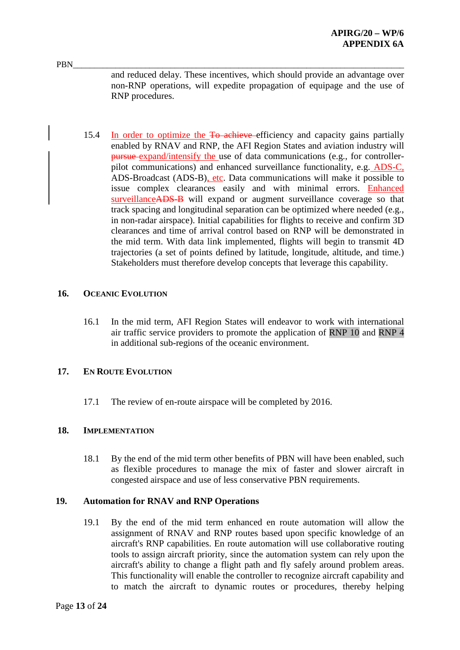PBN\_\_\_\_\_\_\_\_\_\_\_\_\_\_\_\_\_\_\_\_\_\_\_\_\_\_\_\_\_\_\_\_\_\_\_\_\_\_\_\_\_\_\_\_\_\_\_\_\_\_\_\_\_\_\_\_\_\_\_\_\_\_\_\_\_\_\_\_\_\_\_\_\_\_\_\_\_\_ and reduced delay. These incentives, which should provide an advantage over non-RNP operations, will expedite propagation of equipage and the use of RNP procedures.

15.4 In order to optimize the To achieve efficiency and capacity gains partially enabled by RNAV and RNP, the AFI Region States and aviation industry will pursue expand/intensify the use of data communications (e.g., for controllerpilot communications) and enhanced surveillance functionality, e.g. ADS-C, ADS-Broadcast (ADS-B), etc. Data communications will make it possible to issue complex clearances easily and with minimal errors. Enhanced surveillanceADS-B will expand or augment surveillance coverage so that track spacing and longitudinal separation can be optimized where needed (e.g., in non-radar airspace). Initial capabilities for flights to receive and confirm 3D clearances and time of arrival control based on RNP will be demonstrated in the mid term. With data link implemented, flights will begin to transmit 4D trajectories (a set of points defined by latitude, longitude, altitude, and time.) Stakeholders must therefore develop concepts that leverage this capability.

### **16. OCEANIC EVOLUTION**

16.1 In the mid term, AFI Region States will endeavor to work with international air traffic service providers to promote the application of RNP 10 and RNP 4 in additional sub-regions of the oceanic environment.

#### **17. EN ROUTE EVOLUTION**

17.1 The review of en-route airspace will be completed by 2016.

#### **18. IMPLEMENTATION**

18.1 By the end of the mid term other benefits of PBN will have been enabled, such as flexible procedures to manage the mix of faster and slower aircraft in congested airspace and use of less conservative PBN requirements.

## **19. Automation for RNAV and RNP Operations**

19.1 By the end of the mid term enhanced en route automation will allow the assignment of RNAV and RNP routes based upon specific knowledge of an aircraft's RNP capabilities. En route automation will use collaborative routing tools to assign aircraft priority, since the automation system can rely upon the aircraft's ability to change a flight path and fly safely around problem areas. This functionality will enable the controller to recognize aircraft capability and to match the aircraft to dynamic routes or procedures, thereby helping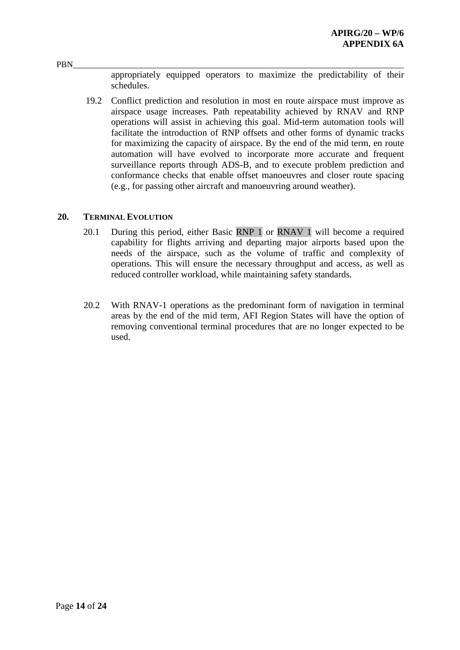appropriately equipped operators to maximize the predictability of their schedules.

19.2 Conflict prediction and resolution in most en route airspace must improve as airspace usage increases. Path repeatability achieved by RNAV and RNP operations will assist in achieving this goal. Mid-term automation tools will facilitate the introduction of RNP offsets and other forms of dynamic tracks for maximizing the capacity of airspace. By the end of the mid term, en route automation will have evolved to incorporate more accurate and frequent surveillance reports through ADS-B, and to execute problem prediction and conformance checks that enable offset manoeuvres and closer route spacing (e.g., for passing other aircraft and manoeuvring around weather).

#### **20. TERMINAL EVOLUTION**

- 20.1 During this period, either Basic RNP 1 or RNAV 1 will become a required capability for flights arriving and departing major airports based upon the needs of the airspace, such as the volume of traffic and complexity of operations. This will ensure the necessary throughput and access, as well as reduced controller workload, while maintaining safety standards.
- 20.2 With RNAV-1 operations as the predominant form of navigation in terminal areas by the end of the mid term, AFI Region States will have the option of removing conventional terminal procedures that are no longer expected to be used.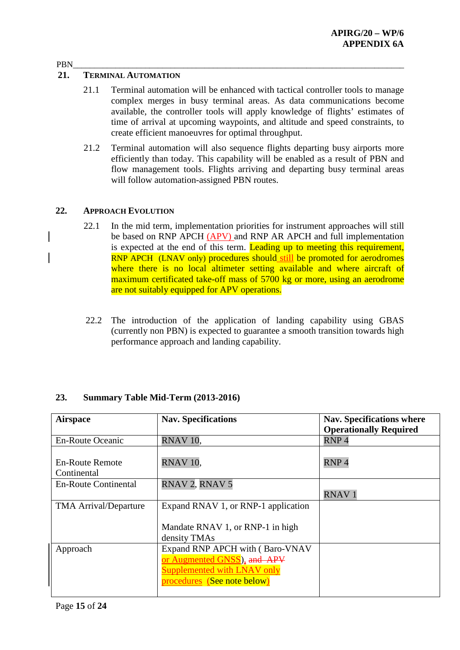### **21. TERMINAL AUTOMATION**

- 21.1 Terminal automation will be enhanced with tactical controller tools to manage complex merges in busy terminal areas. As data communications become available, the controller tools will apply knowledge of flights' estimates of time of arrival at upcoming waypoints, and altitude and speed constraints, to create efficient manoeuvres for optimal throughput.
- 21.2 Terminal automation will also sequence flights departing busy airports more efficiently than today. This capability will be enabled as a result of PBN and flow management tools. Flights arriving and departing busy terminal areas will follow automation-assigned PBN routes.

#### **22. APPROACH EVOLUTION**

- 22.1 In the mid term, implementation priorities for instrument approaches will still be based on RNP APCH (APV) and RNP AR APCH and full implementation is expected at the end of this term. Leading up to meeting this requirement, RNP APCH (LNAV only) procedures should still be promoted for aerodromes where there is no local altimeter setting available and where aircraft of maximum certificated take-off mass of 5700 kg or more, using an aerodrome are not suitably equipped for APV operations.
- 22.2 The introduction of the application of landing capability using GBAS (currently non PBN) is expected to guarantee a smooth transition towards high performance approach and landing capability.

| <b>Airspace</b>                       | <b>Nav. Specifications</b>                                        | <b>Nav. Specifications where</b><br><b>Operationally Required</b> |
|---------------------------------------|-------------------------------------------------------------------|-------------------------------------------------------------------|
| <b>En-Route Oceanic</b>               | RNAV <sub>10</sub>                                                | RNP <sub>4</sub>                                                  |
| <b>En-Route Remote</b><br>Continental | RNAV <sub>10</sub> ,                                              | RNP <sub>4</sub>                                                  |
| <b>En-Route Continental</b>           | RNAV 2, RNAV 5                                                    | <b>RNAV1</b>                                                      |
| <b>TMA Arrival/Departure</b>          | Expand RNAV 1, or RNP-1 application                               |                                                                   |
|                                       | Mandate RNAV 1, or RNP-1 in high<br>density TMAs                  |                                                                   |
| Approach                              | Expand RNP APCH with (Baro-VNAV                                   |                                                                   |
|                                       | or Augmented GNSS), and APV<br><b>Supplemented with LNAV only</b> |                                                                   |
|                                       | procedures (See note below)                                       |                                                                   |

#### **23. Summary Table Mid-Term (2013-2016)**

## PBN\_\_\_\_\_\_\_\_\_\_\_\_\_\_\_\_\_\_\_\_\_\_\_\_\_\_\_\_\_\_\_\_\_\_\_\_\_\_\_\_\_\_\_\_\_\_\_\_\_\_\_\_\_\_\_\_\_\_\_\_\_\_\_\_\_\_\_\_\_\_\_\_\_\_\_\_\_\_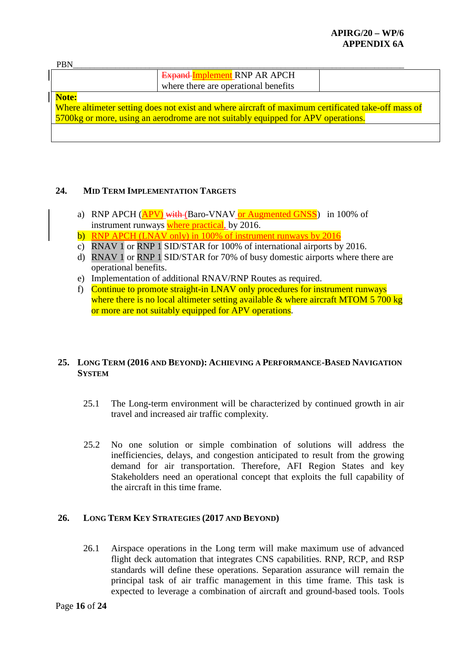## **APIRG/20 – WP/6 APPENDIX 6A**

| <b>PBN</b>                                                                                         |                                                                                  |  |
|----------------------------------------------------------------------------------------------------|----------------------------------------------------------------------------------|--|
|                                                                                                    | <b>Expand Implement RNP AR APCH</b>                                              |  |
|                                                                                                    | where there are operational benefits                                             |  |
| Note:                                                                                              |                                                                                  |  |
| Where altimeter setting does not exist and where aircraft of maximum certificated take-off mass of |                                                                                  |  |
|                                                                                                    | 5700kg or more, using an aerodrome are not suitably equipped for APV operations. |  |
|                                                                                                    |                                                                                  |  |
|                                                                                                    |                                                                                  |  |

## **24. MID TERM IMPLEMENTATION TARGETS**

- a) RNP APCH (APV) with (Baro-VNAV or Augmented GNSS) in 100% of instrument runways where practical, by 2016.
- b) RNP APCH (LNAV only) in 100% of instrument runways by 2016
- c) RNAV 1 or RNP 1 SID/STAR for 100% of international airports by 2016.
- d) RNAV 1 or RNP 1 SID/STAR for 70% of busy domestic airports where there are operational benefits.
- e) Implementation of additional RNAV/RNP Routes as required.
- f) Continue to promote straight-in LNAV only procedures for instrument runways where there is no local altimeter setting available  $\&$  where aircraft MTOM 5 700 kg or more are not suitably equipped for APV operations.

## **25. LONG TERM (2016 AND BEYOND): ACHIEVING A PERFORMANCE-BASED NAVIGATION SYSTEM**

- 25.1 The Long-term environment will be characterized by continued growth in air travel and increased air traffic complexity.
- 25.2 No one solution or simple combination of solutions will address the inefficiencies, delays, and congestion anticipated to result from the growing demand for air transportation. Therefore, AFI Region States and key Stakeholders need an operational concept that exploits the full capability of the aircraft in this time frame.

#### **26. LONG TERM KEY STRATEGIES (2017 AND BEYOND)**

26.1 Airspace operations in the Long term will make maximum use of advanced flight deck automation that integrates CNS capabilities. RNP, RCP, and RSP standards will define these operations. Separation assurance will remain the principal task of air traffic management in this time frame. This task is expected to leverage a combination of aircraft and ground-based tools. Tools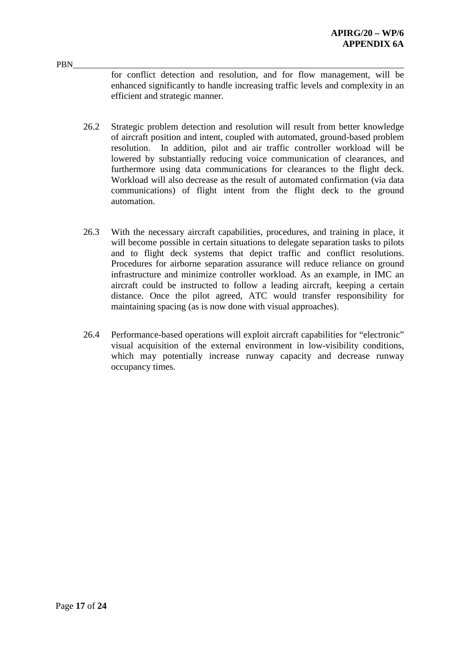PBN\_\_\_\_\_\_\_\_\_\_\_\_\_\_\_\_\_\_\_\_\_\_\_\_\_\_\_\_\_\_\_\_\_\_\_\_\_\_\_\_\_\_\_\_\_\_\_\_\_\_\_\_\_\_\_\_\_\_\_\_\_\_\_\_\_\_\_\_\_\_\_\_\_\_\_\_\_\_ for conflict detection and resolution, and for flow management, will be enhanced significantly to handle increasing traffic levels and complexity in an efficient and strategic manner.

- 26.2 Strategic problem detection and resolution will result from better knowledge of aircraft position and intent, coupled with automated, ground-based problem resolution. In addition, pilot and air traffic controller workload will be lowered by substantially reducing voice communication of clearances, and furthermore using data communications for clearances to the flight deck. Workload will also decrease as the result of automated confirmation (via data communications) of flight intent from the flight deck to the ground automation.
- 26.3 With the necessary aircraft capabilities, procedures, and training in place, it will become possible in certain situations to delegate separation tasks to pilots and to flight deck systems that depict traffic and conflict resolutions. Procedures for airborne separation assurance will reduce reliance on ground infrastructure and minimize controller workload. As an example, in IMC an aircraft could be instructed to follow a leading aircraft, keeping a certain distance. Once the pilot agreed, ATC would transfer responsibility for maintaining spacing (as is now done with visual approaches).
- 26.4 Performance-based operations will exploit aircraft capabilities for "electronic" visual acquisition of the external environment in low-visibility conditions, which may potentially increase runway capacity and decrease runway occupancy times.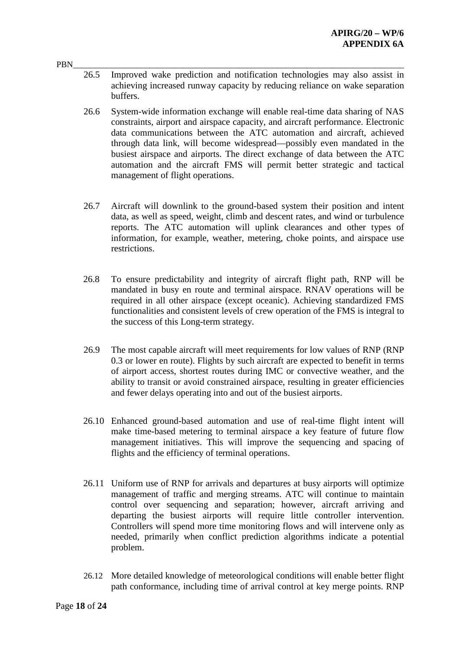- PBN\_\_\_\_\_\_\_\_\_\_\_\_\_\_\_\_\_\_\_\_\_\_\_\_\_\_\_\_\_\_\_\_\_\_\_\_\_\_\_\_\_\_\_\_\_\_\_\_\_\_\_\_\_\_\_\_\_\_\_\_\_\_\_\_\_\_\_\_\_\_\_\_\_\_\_\_\_\_ 26.5 Improved wake prediction and notification technologies may also assist in achieving increased runway capacity by reducing reliance on wake separation buffers.
	- 26.6 System-wide information exchange will enable real-time data sharing of NAS constraints, airport and airspace capacity, and aircraft performance. Electronic data communications between the ATC automation and aircraft, achieved through data link, will become widespread—possibly even mandated in the busiest airspace and airports. The direct exchange of data between the ATC automation and the aircraft FMS will permit better strategic and tactical management of flight operations.
	- 26.7 Aircraft will downlink to the ground-based system their position and intent data, as well as speed, weight, climb and descent rates, and wind or turbulence reports. The ATC automation will uplink clearances and other types of information, for example, weather, metering, choke points, and airspace use restrictions.
	- 26.8 To ensure predictability and integrity of aircraft flight path, RNP will be mandated in busy en route and terminal airspace. RNAV operations will be required in all other airspace (except oceanic). Achieving standardized FMS functionalities and consistent levels of crew operation of the FMS is integral to the success of this Long-term strategy.
	- 26.9 The most capable aircraft will meet requirements for low values of RNP (RNP 0.3 or lower en route). Flights by such aircraft are expected to benefit in terms of airport access, shortest routes during IMC or convective weather, and the ability to transit or avoid constrained airspace, resulting in greater efficiencies and fewer delays operating into and out of the busiest airports.
	- 26.10 Enhanced ground-based automation and use of real-time flight intent will make time-based metering to terminal airspace a key feature of future flow management initiatives. This will improve the sequencing and spacing of flights and the efficiency of terminal operations.
	- 26.11 Uniform use of RNP for arrivals and departures at busy airports will optimize management of traffic and merging streams. ATC will continue to maintain control over sequencing and separation; however, aircraft arriving and departing the busiest airports will require little controller intervention. Controllers will spend more time monitoring flows and will intervene only as needed, primarily when conflict prediction algorithms indicate a potential problem.
	- 26.12 More detailed knowledge of meteorological conditions will enable better flight path conformance, including time of arrival control at key merge points. RNP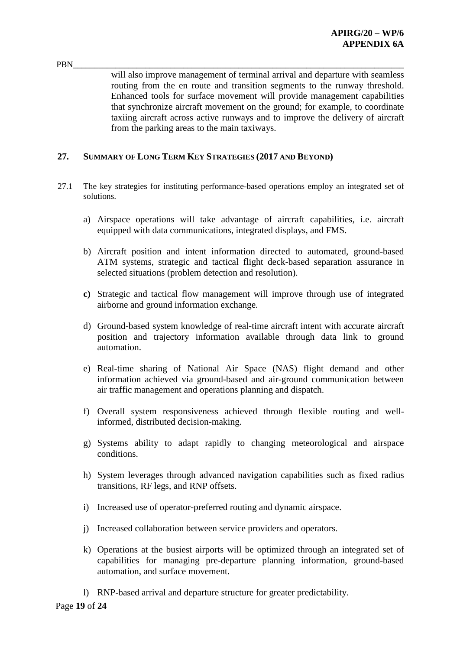PBN\_\_\_\_\_\_\_\_\_\_\_\_\_\_\_\_\_\_\_\_\_\_\_\_\_\_\_\_\_\_\_\_\_\_\_\_\_\_\_\_\_\_\_\_\_\_\_\_\_\_\_\_\_\_\_\_\_\_\_\_\_\_\_\_\_\_\_\_\_\_\_\_\_\_\_\_\_\_ will also improve management of terminal arrival and departure with seamless routing from the en route and transition segments to the runway threshold. Enhanced tools for surface movement will provide management capabilities that synchronize aircraft movement on the ground; for example, to coordinate taxiing aircraft across active runways and to improve the delivery of aircraft from the parking areas to the main taxiways.

## **27. SUMMARY OF LONG TERM KEY STRATEGIES (2017 AND BEYOND)**

- 27.1 The key strategies for instituting performance-based operations employ an integrated set of solutions.
	- a) Airspace operations will take advantage of aircraft capabilities, i.e. aircraft equipped with data communications, integrated displays, and FMS.
	- b) Aircraft position and intent information directed to automated, ground-based ATM systems, strategic and tactical flight deck-based separation assurance in selected situations (problem detection and resolution).
	- **c)** Strategic and tactical flow management will improve through use of integrated airborne and ground information exchange.
	- d) Ground-based system knowledge of real-time aircraft intent with accurate aircraft position and trajectory information available through data link to ground automation.
	- e) Real-time sharing of National Air Space (NAS) flight demand and other information achieved via ground-based and air-ground communication between air traffic management and operations planning and dispatch.
	- f) Overall system responsiveness achieved through flexible routing and wellinformed, distributed decision-making.
	- g) Systems ability to adapt rapidly to changing meteorological and airspace conditions.
	- h) System leverages through advanced navigation capabilities such as fixed radius transitions, RF legs, and RNP offsets.
	- i) Increased use of operator-preferred routing and dynamic airspace.
	- j) Increased collaboration between service providers and operators.
	- k) Operations at the busiest airports will be optimized through an integrated set of capabilities for managing pre-departure planning information, ground-based automation, and surface movement.
	- l) RNP-based arrival and departure structure for greater predictability.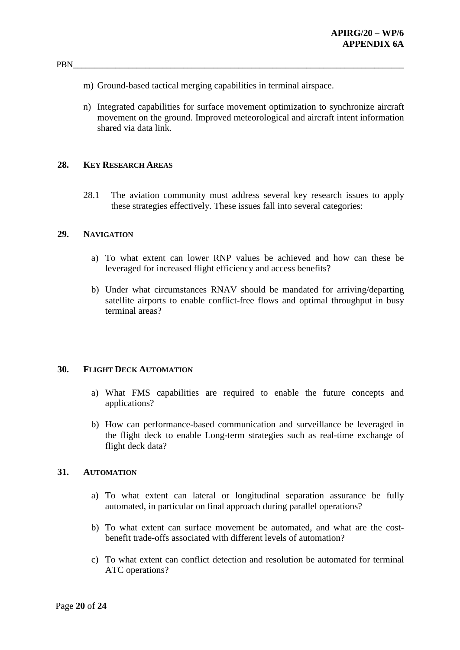- m) Ground-based tactical merging capabilities in terminal airspace.
- n) Integrated capabilities for surface movement optimization to synchronize aircraft movement on the ground. Improved meteorological and aircraft intent information shared via data link.

#### **28. KEY RESEARCH AREAS**

28.1 The aviation community must address several key research issues to apply these strategies effectively. These issues fall into several categories:

#### **29. NAVIGATION**

- a) To what extent can lower RNP values be achieved and how can these be leveraged for increased flight efficiency and access benefits?
- b) Under what circumstances RNAV should be mandated for arriving/departing satellite airports to enable conflict-free flows and optimal throughput in busy terminal areas?

#### **30. FLIGHT DECK AUTOMATION**

- a) What FMS capabilities are required to enable the future concepts and applications?
- b) How can performance-based communication and surveillance be leveraged in the flight deck to enable Long-term strategies such as real-time exchange of flight deck data?

#### **31. AUTOMATION**

- a) To what extent can lateral or longitudinal separation assurance be fully automated, in particular on final approach during parallel operations?
- b) To what extent can surface movement be automated, and what are the costbenefit trade-offs associated with different levels of automation?
- c) To what extent can conflict detection and resolution be automated for terminal ATC operations?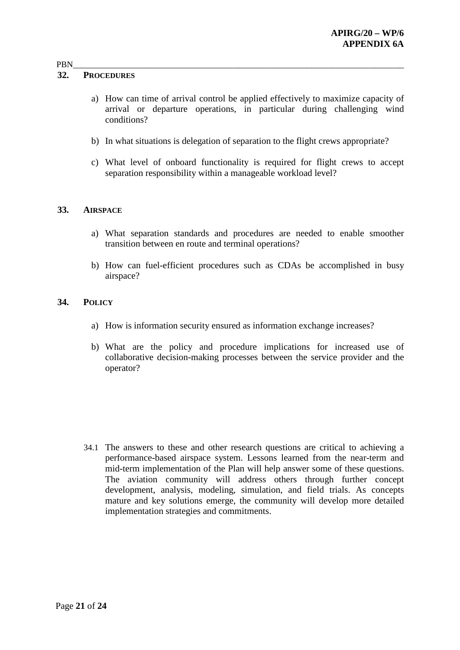#### **32. PROCEDURES**

- a) How can time of arrival control be applied effectively to maximize capacity of arrival or departure operations, in particular during challenging wind conditions?
- b) In what situations is delegation of separation to the flight crews appropriate?
- c) What level of onboard functionality is required for flight crews to accept separation responsibility within a manageable workload level?

#### **33. AIRSPACE**

- a) What separation standards and procedures are needed to enable smoother transition between en route and terminal operations?
- b) How can fuel-efficient procedures such as CDAs be accomplished in busy airspace?

#### **34. POLICY**

- a) How is information security ensured as information exchange increases?
- b) What are the policy and procedure implications for increased use of collaborative decision-making processes between the service provider and the operator?

34.1 The answers to these and other research questions are critical to achieving a performance-based airspace system. Lessons learned from the near-term and mid-term implementation of the Plan will help answer some of these questions. The aviation community will address others through further concept development, analysis, modeling, simulation, and field trials. As concepts mature and key solutions emerge, the community will develop more detailed implementation strategies and commitments.

### PBN\_\_\_\_\_\_\_\_\_\_\_\_\_\_\_\_\_\_\_\_\_\_\_\_\_\_\_\_\_\_\_\_\_\_\_\_\_\_\_\_\_\_\_\_\_\_\_\_\_\_\_\_\_\_\_\_\_\_\_\_\_\_\_\_\_\_\_\_\_\_\_\_\_\_\_\_\_\_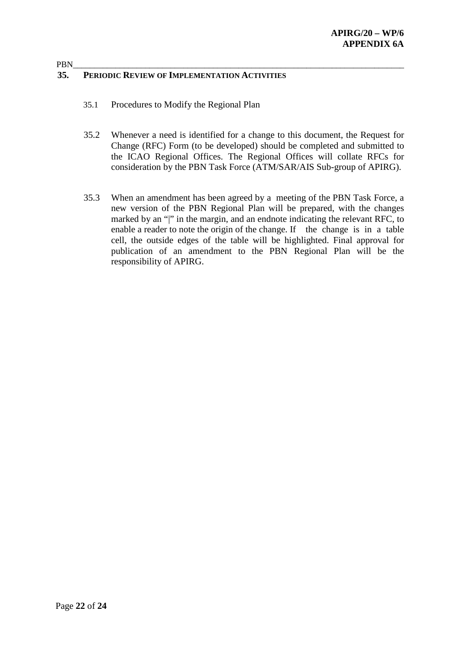#### PBN\_\_\_\_\_\_\_\_\_\_\_\_\_\_\_\_\_\_\_\_\_\_\_\_\_\_\_\_\_\_\_\_\_\_\_\_\_\_\_\_\_\_\_\_\_\_\_\_\_\_\_\_\_\_\_\_\_\_\_\_\_\_\_\_\_\_\_\_\_\_\_\_\_\_\_\_\_\_ **35. PERIODIC REVIEW OF IMPLEMENTATION ACTIVITIES**

- 35.1 Procedures to Modify the Regional Plan
- 35.2 Whenever a need is identified for a change to this document, the Request for Change (RFC) Form (to be developed) should be completed and submitted to the ICAO Regional Offices. The Regional Offices will collate RFCs for consideration by the PBN Task Force (ATM/SAR/AIS Sub-group of APIRG).
- 35.3 When an amendment has been agreed by a meeting of the PBN Task Force, a new version of the PBN Regional Plan will be prepared, with the changes marked by an "|" in the margin, and an endnote indicating the relevant RFC, to enable a reader to note the origin of the change. If the change is in a table cell, the outside edges of the table will be highlighted. Final approval for publication of an amendment to the PBN Regional Plan will be the responsibility of APIRG.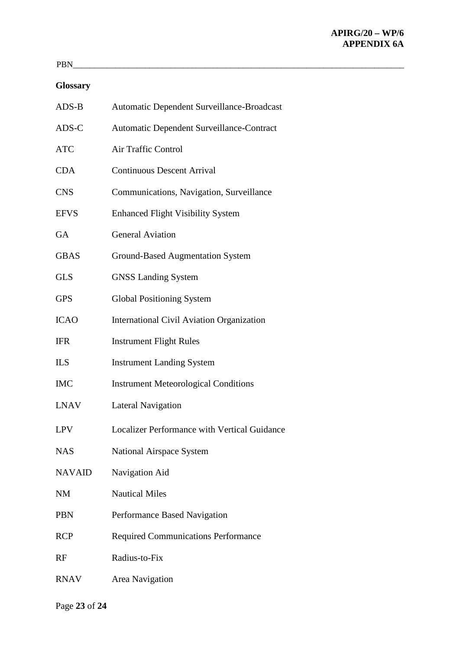# **Glossary**

| $ADS-B$       | Automatic Dependent Surveillance-Broadcast          |
|---------------|-----------------------------------------------------|
| ADS-C         | Automatic Dependent Surveillance-Contract           |
| <b>ATC</b>    | <b>Air Traffic Control</b>                          |
| <b>CDA</b>    | <b>Continuous Descent Arrival</b>                   |
| <b>CNS</b>    | Communications, Navigation, Surveillance            |
| <b>EFVS</b>   | <b>Enhanced Flight Visibility System</b>            |
| <b>GA</b>     | <b>General Aviation</b>                             |
| <b>GBAS</b>   | <b>Ground-Based Augmentation System</b>             |
| <b>GLS</b>    | <b>GNSS Landing System</b>                          |
| <b>GPS</b>    | <b>Global Positioning System</b>                    |
| <b>ICAO</b>   | <b>International Civil Aviation Organization</b>    |
| <b>IFR</b>    | <b>Instrument Flight Rules</b>                      |
| <b>ILS</b>    | <b>Instrument Landing System</b>                    |
| <b>IMC</b>    | <b>Instrument Meteorological Conditions</b>         |
| <b>LNAV</b>   | <b>Lateral Navigation</b>                           |
| <b>LPV</b>    | <b>Localizer Performance with Vertical Guidance</b> |
| <b>NAS</b>    | <b>National Airspace System</b>                     |
| <b>NAVAID</b> | Navigation Aid                                      |
| NM            | <b>Nautical Miles</b>                               |
| <b>PBN</b>    | Performance Based Navigation                        |
| <b>RCP</b>    | <b>Required Communications Performance</b>          |
| RF            | Radius-to-Fix                                       |
| <b>RNAV</b>   | Area Navigation                                     |

Page **23** of **24**

PBN\_\_\_\_\_\_\_\_\_\_\_\_\_\_\_\_\_\_\_\_\_\_\_\_\_\_\_\_\_\_\_\_\_\_\_\_\_\_\_\_\_\_\_\_\_\_\_\_\_\_\_\_\_\_\_\_\_\_\_\_\_\_\_\_\_\_\_\_\_\_\_\_\_\_\_\_\_\_